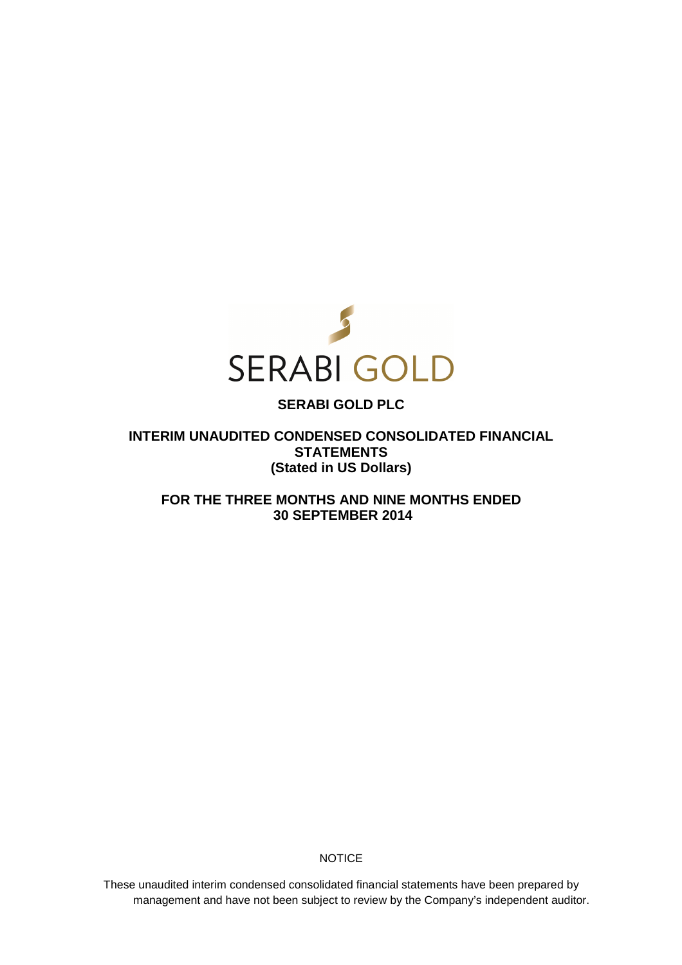

# **SERABI GOLD PLC**

**INTERIM UNAUDITED CONDENSED CONSOLIDATED FINANCIAL STATEMENTS (Stated in US Dollars)** 

**FOR THE THREE MONTHS AND NINE MONTHS ENDED 30 SEPTEMBER 2014** 

**NOTICE** 

These unaudited interim condensed consolidated financial statements have been prepared by management and have not been subject to review by the Company's independent auditor.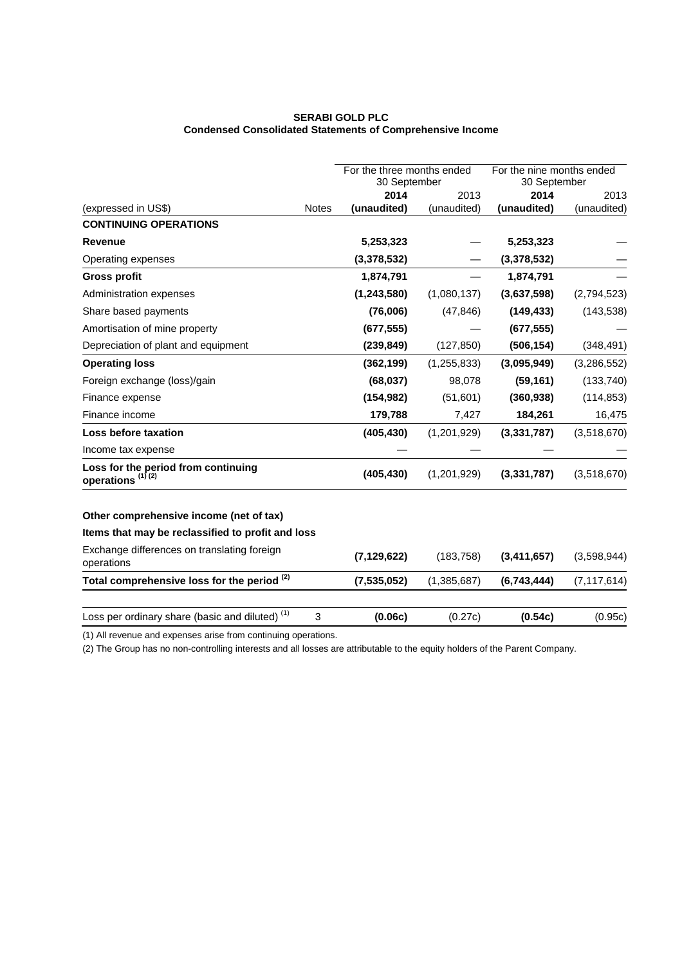## **SERABI GOLD PLC Condensed Consolidated Statements of Comprehensive Income**

|                                                                     |              | For the three months ended<br>30 September |               | For the nine months ended<br>30 September |               |
|---------------------------------------------------------------------|--------------|--------------------------------------------|---------------|-------------------------------------------|---------------|
|                                                                     |              | 2014                                       | 2013          | 2014                                      | 2013          |
| (expressed in US\$)                                                 | <b>Notes</b> | (unaudited)                                | (unaudited)   | (unaudited)                               | (unaudited)   |
| <b>CONTINUING OPERATIONS</b>                                        |              |                                            |               |                                           |               |
| <b>Revenue</b>                                                      |              | 5,253,323                                  |               | 5,253,323                                 |               |
| Operating expenses                                                  |              | (3,378,532)                                |               | (3,378,532)                               |               |
| <b>Gross profit</b>                                                 |              | 1,874,791                                  |               | 1,874,791                                 |               |
| Administration expenses                                             |              | (1, 243, 580)                              | (1,080,137)   | (3,637,598)                               | (2,794,523)   |
| Share based payments                                                |              | (76,006)                                   | (47, 846)     | (149, 433)                                | (143, 538)    |
| Amortisation of mine property                                       |              | (677, 555)                                 |               | (677, 555)                                |               |
| Depreciation of plant and equipment                                 |              | (239, 849)                                 | (127, 850)    | (506, 154)                                | (348, 491)    |
| <b>Operating loss</b>                                               |              | (362, 199)                                 | (1, 255, 833) | (3,095,949)                               | (3,286,552)   |
| Foreign exchange (loss)/gain                                        |              | (68, 037)                                  | 98,078        | (59, 161)                                 | (133, 740)    |
| Finance expense                                                     |              | (154, 982)                                 | (51,601)      | (360, 938)                                | (114, 853)    |
| Finance income                                                      |              | 179,788                                    | 7,427         | 184,261                                   | 16,475        |
| Loss before taxation                                                |              | (405, 430)                                 | (1,201,929)   | (3,331,787)                               | (3,518,670)   |
| Income tax expense                                                  |              |                                            |               |                                           |               |
| Loss for the period from continuing<br>operations <sup>(1)(2)</sup> |              | (405, 430)                                 | (1,201,929)   | (3,331,787)                               | (3,518,670)   |
| Other comprehensive income (net of tax)                             |              |                                            |               |                                           |               |
| Items that may be reclassified to profit and loss                   |              |                                            |               |                                           |               |
| Exchange differences on translating foreign<br>operations           |              | (7, 129, 622)                              | (183, 758)    | (3,411,657)                               | (3,598,944)   |
| Total comprehensive loss for the period (2)                         |              | (7,535,052)                                | (1,385,687)   | (6,743,444)                               | (7, 117, 614) |
| Loss per ordinary share (basic and diluted) <sup>(1)</sup>          | 3            | (0.06c)                                    | (0.27c)       | (0.54c)                                   | (0.95c)       |

(1) All revenue and expenses arise from continuing operations.

(2) The Group has no non-controlling interests and all losses are attributable to the equity holders of the Parent Company.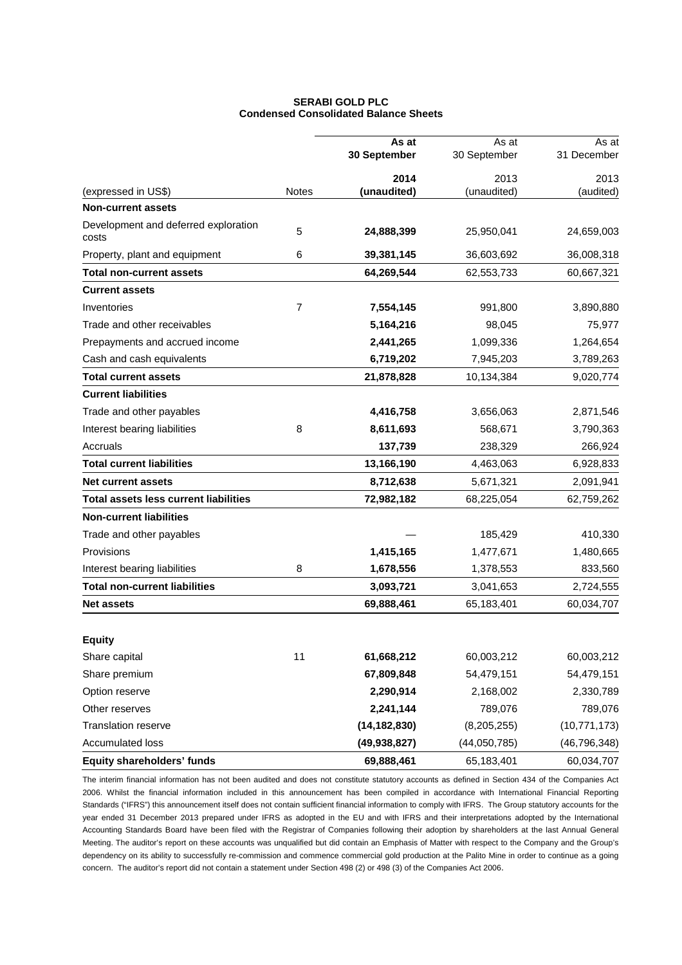## **SERABI GOLD PLC Condensed Consolidated Balance Sheets**

|                                               |                | As at          | As at         | As at          |
|-----------------------------------------------|----------------|----------------|---------------|----------------|
|                                               |                | 30 September   | 30 September  | 31 December    |
|                                               |                | 2014           | 2013          | 2013           |
| (expressed in US\$)                           | <b>Notes</b>   | (unaudited)    | (unaudited)   | (audited)      |
| <b>Non-current assets</b>                     |                |                |               |                |
| Development and deferred exploration<br>costs | 5              | 24,888,399     | 25,950,041    | 24,659,003     |
| Property, plant and equipment                 | 6              | 39,381,145     | 36,603,692    | 36,008,318     |
| <b>Total non-current assets</b>               |                | 64,269,544     | 62,553,733    | 60,667,321     |
| <b>Current assets</b>                         |                |                |               |                |
| Inventories                                   | $\overline{7}$ | 7,554,145      | 991,800       | 3,890,880      |
| Trade and other receivables                   |                | 5,164,216      | 98,045        | 75,977         |
| Prepayments and accrued income                |                | 2,441,265      | 1,099,336     | 1,264,654      |
| Cash and cash equivalents                     |                | 6,719,202      | 7,945,203     | 3,789,263      |
| Total current assets                          |                | 21,878,828     | 10,134,384    | 9,020,774      |
| <b>Current liabilities</b>                    |                |                |               |                |
| Trade and other payables                      |                | 4,416,758      | 3,656,063     | 2,871,546      |
| Interest bearing liabilities                  | 8              | 8,611,693      | 568,671       | 3,790,363      |
| Accruals                                      |                | 137,739        | 238,329       | 266,924        |
| <b>Total current liabilities</b>              |                | 13,166,190     | 4,463,063     | 6,928,833      |
| <b>Net current assets</b>                     |                | 8,712,638      | 5,671,321     | 2,091,941      |
| <b>Total assets less current liabilities</b>  |                | 72,982,182     | 68,225,054    | 62,759,262     |
| <b>Non-current liabilities</b>                |                |                |               |                |
| Trade and other payables                      |                |                | 185,429       | 410,330        |
| Provisions                                    |                | 1,415,165      | 1,477,671     | 1,480,665      |
| Interest bearing liabilities                  | 8              | 1,678,556      | 1,378,553     | 833,560        |
| <b>Total non-current liabilities</b>          |                | 3,093,721      | 3,041,653     | 2,724,555      |
| <b>Net assets</b>                             |                | 69,888,461     | 65,183,401    | 60,034,707     |
| <b>Equity</b>                                 |                |                |               |                |
| Share capital                                 | 11             | 61,668,212     | 60,003,212    | 60,003,212     |
| Share premium                                 |                | 67,809,848     | 54,479,151    | 54,479,151     |
| Option reserve                                |                | 2,290,914      | 2,168,002     | 2,330,789      |
| Other reserves                                |                | 2,241,144      | 789,076       | 789,076        |
| <b>Translation reserve</b>                    |                | (14, 182, 830) | (8, 205, 255) | (10, 771, 173) |
| Accumulated loss                              |                | (49, 938, 827) | (44,050,785)  | (46, 796, 348) |
| Equity shareholders' funds                    |                | 69,888,461     | 65,183,401    | 60,034,707     |

The interim financial information has not been audited and does not constitute statutory accounts as defined in Section 434 of the Companies Act 2006. Whilst the financial information included in this announcement has been compiled in accordance with International Financial Reporting Standards ("IFRS") this announcement itself does not contain sufficient financial information to comply with IFRS. The Group statutory accounts for the year ended 31 December 2013 prepared under IFRS as adopted in the EU and with IFRS and their interpretations adopted by the International Accounting Standards Board have been filed with the Registrar of Companies following their adoption by shareholders at the last Annual General Meeting. The auditor's report on these accounts was unqualified but did contain an Emphasis of Matter with respect to the Company and the Group's dependency on its ability to successfully re-commission and commence commercial gold production at the Palito Mine in order to continue as a going concern. The auditor's report did not contain a statement under Section 498 (2) or 498 (3) of the Companies Act 2006.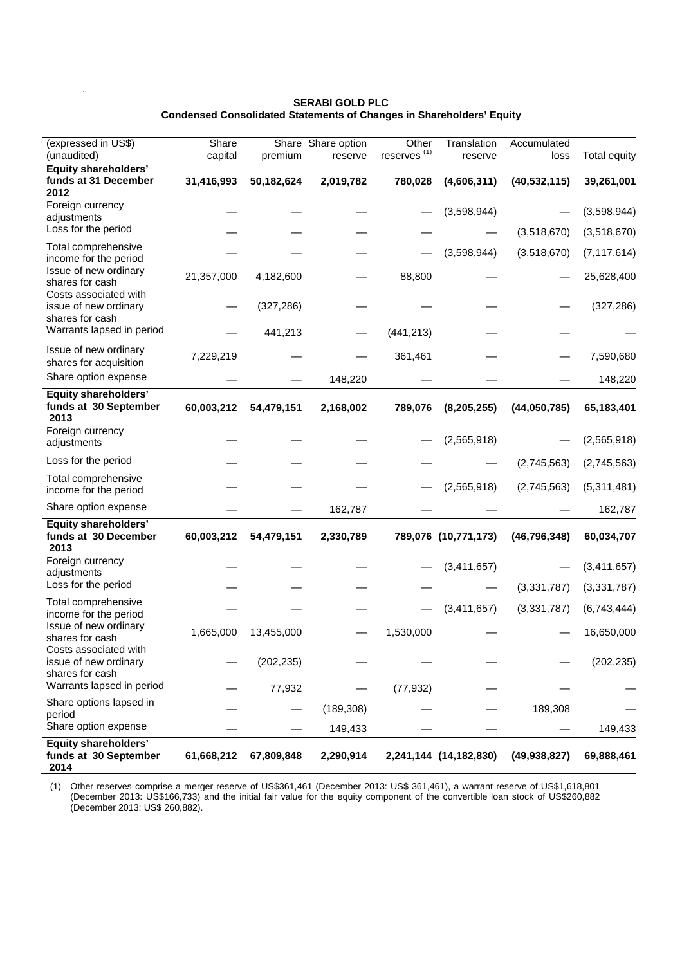## **SERABI GOLD PLC Condensed Consolidated Statements of Changes in Shareholders' Equity**

.

| (expressed in US\$)                                               | Share      |            | Share Share option | Other          | Translation            | Accumulated    |                     |
|-------------------------------------------------------------------|------------|------------|--------------------|----------------|------------------------|----------------|---------------------|
| (unaudited)                                                       | capital    | premium    | reserve            | reserves $(1)$ | reserve                | loss           | <b>Total equity</b> |
| Equity shareholders'<br>funds at 31 December<br>2012              | 31,416,993 | 50,182,624 | 2,019,782          | 780,028        | (4,606,311)            | (40, 532, 115) | 39,261,001          |
| Foreign currency<br>adjustments                                   |            |            |                    |                | (3,598,944)            |                | (3,598,944)         |
| Loss for the period                                               |            |            |                    |                |                        | (3,518,670)    | (3,518,670)         |
| Total comprehensive<br>income for the period                      |            |            |                    |                | (3,598,944)            | (3,518,670)    | (7, 117, 614)       |
| Issue of new ordinary<br>shares for cash                          | 21,357,000 | 4,182,600  |                    | 88,800         |                        |                | 25,628,400          |
| Costs associated with<br>issue of new ordinary<br>shares for cash |            | (327, 286) |                    |                |                        |                | (327, 286)          |
| Warrants lapsed in period                                         |            | 441,213    |                    | (441, 213)     |                        |                |                     |
| Issue of new ordinary<br>shares for acquisition                   | 7,229,219  |            |                    | 361,461        |                        |                | 7,590,680           |
| Share option expense                                              |            |            | 148,220            |                |                        |                | 148,220             |
| <b>Equity shareholders'</b><br>funds at 30 September<br>2013      | 60,003,212 | 54,479,151 | 2,168,002          | 789,076        | (8, 205, 255)          | (44,050,785)   | 65,183,401          |
| Foreign currency<br>adjustments                                   |            |            |                    |                | (2,565,918)            |                | (2,565,918)         |
| Loss for the period                                               |            |            |                    |                |                        | (2,745,563)    | (2,745,563)         |
| Total comprehensive<br>income for the period                      |            |            |                    |                | (2,565,918)            | (2,745,563)    | (5,311,481)         |
| Share option expense                                              |            |            | 162,787            |                |                        |                | 162,787             |
| Equity shareholders'<br>funds at 30 December<br>2013              | 60,003,212 | 54,479,151 | 2,330,789          |                | 789,076 (10,771,173)   | (46, 796, 348) | 60,034,707          |
| Foreign currency<br>adjustments                                   |            |            |                    |                | (3,411,657)            |                | (3,411,657)         |
| Loss for the period                                               |            |            |                    |                |                        | (3,331,787)    | (3,331,787)         |
| Total comprehensive<br>income for the period                      |            |            |                    |                | (3,411,657)            | (3, 331, 787)  | (6,743,444)         |
| Issue of new ordinary<br>shares for cash                          | 1,665,000  | 13,455,000 |                    | 1,530,000      |                        |                | 16,650,000          |
| Costs associated with<br>issue of new ordinary<br>shares for cash |            | (202, 235) |                    |                |                        |                | (202, 235)          |
| Warrants lapsed in period                                         |            | 77,932     |                    | (77, 932)      |                        |                |                     |
| Share options lapsed in<br>period                                 |            |            | (189, 308)         |                |                        | 189,308        |                     |
| Share option expense                                              |            |            | 149,433            |                |                        |                | 149,433             |
| <b>Equity shareholders'</b><br>funds at 30 September<br>2014      | 61,668,212 | 67,809,848 | 2,290,914          |                | 2,241,144 (14,182,830) | (49, 938, 827) | 69,888,461          |

(1) Other reserves comprise a merger reserve of US\$361,461 (December 2013: US\$ 361,461), a warrant reserve of US\$1,618,801 (December 2013: US\$166,733) and the initial fair value for the equity component of the convertible loan stock of US\$260,882 (December 2013: US\$ 260,882).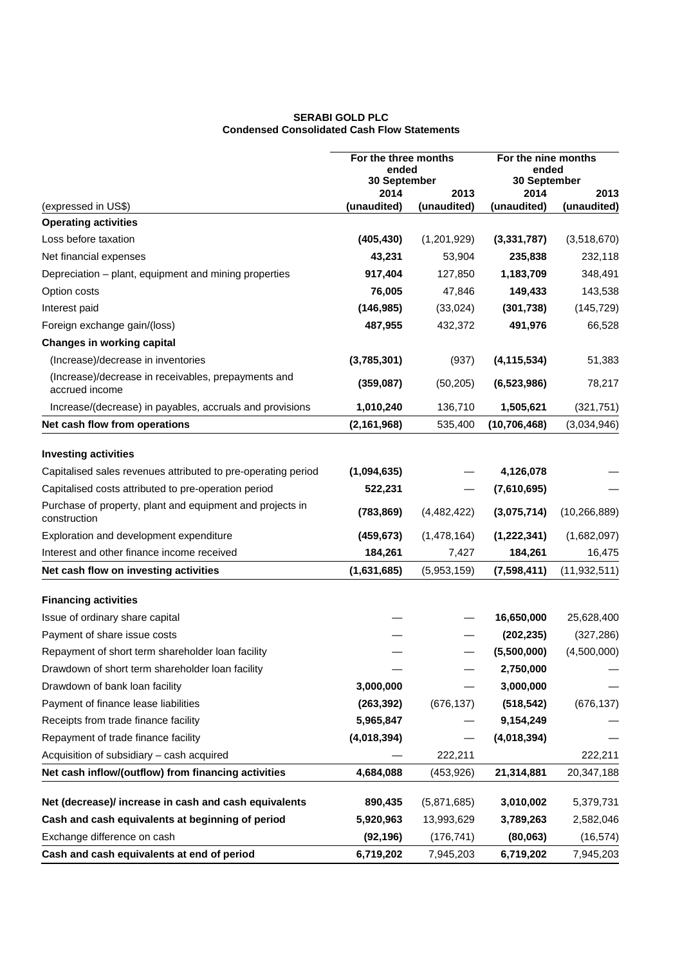## **SERABI GOLD PLC Condensed Consolidated Cash Flow Statements**

|                                                                       | For the three months<br>ended<br>30 September |             | For the nine months<br>ended<br>30 September |                |
|-----------------------------------------------------------------------|-----------------------------------------------|-------------|----------------------------------------------|----------------|
|                                                                       | 2014                                          | 2013        | 2014                                         | 2013           |
| (expressed in US\$)                                                   | (unaudited)                                   | (unaudited) | (unaudited)                                  | (unaudited)    |
| <b>Operating activities</b>                                           |                                               |             |                                              |                |
| Loss before taxation                                                  | (405, 430)                                    | (1,201,929) | (3,331,787)                                  | (3,518,670)    |
| Net financial expenses                                                | 43,231                                        | 53,904      | 235,838                                      | 232,118        |
| Depreciation - plant, equipment and mining properties                 | 917,404                                       | 127,850     | 1,183,709                                    | 348,491        |
| Option costs                                                          | 76,005                                        | 47,846      | 149,433                                      | 143,538        |
| Interest paid                                                         | (146, 985)                                    | (33,024)    | (301, 738)                                   | (145, 729)     |
| Foreign exchange gain/(loss)                                          | 487,955                                       | 432,372     | 491,976                                      | 66,528         |
| <b>Changes in working capital</b>                                     |                                               |             |                                              |                |
| (Increase)/decrease in inventories                                    | (3,785,301)                                   | (937)       | (4, 115, 534)                                | 51,383         |
| (Increase)/decrease in receivables, prepayments and<br>accrued income | (359,087)                                     | (50, 205)   | (6, 523, 986)                                | 78,217         |
| Increase/(decrease) in payables, accruals and provisions              | 1,010,240                                     | 136,710     | 1,505,621                                    | (321, 751)     |
| Net cash flow from operations                                         | (2, 161, 968)                                 | 535,400     | (10, 706, 468)                               | (3,034,946)    |
| <b>Investing activities</b>                                           |                                               |             |                                              |                |
| Capitalised sales revenues attributed to pre-operating period         | (1,094,635)                                   |             | 4,126,078                                    |                |
| Capitalised costs attributed to pre-operation period                  | 522,231                                       |             | (7,610,695)                                  |                |
| Purchase of property, plant and equipment and projects in             |                                               |             |                                              |                |
| construction                                                          | (783, 869)                                    | (4,482,422) | (3,075,714)                                  | (10, 266, 889) |
| Exploration and development expenditure                               | (459, 673)                                    | (1,478,164) | (1, 222, 341)                                | (1,682,097)    |
| Interest and other finance income received                            | 184,261                                       | 7,427       | 184,261                                      | 16,475         |
| Net cash flow on investing activities                                 | (1,631,685)                                   | (5,953,159) | (7,598,411)                                  | (11, 932, 511) |
| <b>Financing activities</b>                                           |                                               |             |                                              |                |
| Issue of ordinary share capital                                       |                                               |             | 16,650,000                                   | 25,628,400     |
| Payment of share issue costs                                          |                                               |             | (202, 235)                                   | (327, 286)     |
| Repayment of short term shareholder loan facility                     |                                               |             | (5,500,000)                                  | (4,500,000)    |
| Drawdown of short term shareholder loan facility                      |                                               |             | 2,750,000                                    |                |
| Drawdown of bank loan facility                                        | 3,000,000                                     |             | 3,000,000                                    |                |
| Payment of finance lease liabilities                                  | (263, 392)                                    | (676, 137)  | (518, 542)                                   | (676, 137)     |
| Receipts from trade finance facility                                  | 5,965,847                                     |             | 9,154,249                                    |                |
| Repayment of trade finance facility                                   | (4,018,394)                                   |             | (4,018,394)                                  |                |
| Acquisition of subsidiary - cash acquired                             |                                               | 222,211     |                                              | 222,211        |
| Net cash inflow/(outflow) from financing activities                   | 4,684,088                                     | (453, 926)  | 21,314,881                                   | 20,347,188     |
| Net (decrease)/ increase in cash and cash equivalents                 | 890,435                                       | (5,871,685) | 3,010,002                                    | 5,379,731      |
| Cash and cash equivalents at beginning of period                      | 5,920,963                                     | 13,993,629  | 3,789,263                                    | 2,582,046      |
| Exchange difference on cash                                           | (92, 196)                                     | (176, 741)  | (80,063)                                     | (16, 574)      |
| Cash and cash equivalents at end of period                            | 6,719,202                                     | 7,945,203   | 6,719,202                                    | 7,945,203      |
|                                                                       |                                               |             |                                              |                |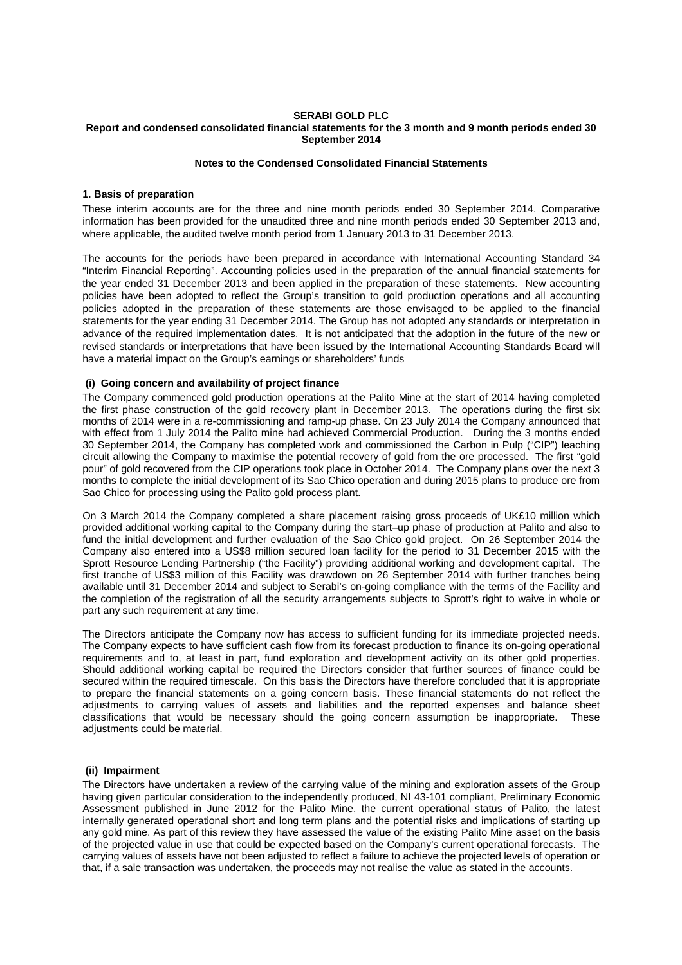#### **SERABI GOLD PLC Report and condensed consolidated financial statements for the 3 month and 9 month periods ended 30 September 2014**

## **Notes to the Condensed Consolidated Financial Statements**

## **1. Basis of preparation**

These interim accounts are for the three and nine month periods ended 30 September 2014. Comparative information has been provided for the unaudited three and nine month periods ended 30 September 2013 and, where applicable, the audited twelve month period from 1 January 2013 to 31 December 2013.

The accounts for the periods have been prepared in accordance with International Accounting Standard 34 "Interim Financial Reporting". Accounting policies used in the preparation of the annual financial statements for the year ended 31 December 2013 and been applied in the preparation of these statements. New accounting policies have been adopted to reflect the Group's transition to gold production operations and all accounting policies adopted in the preparation of these statements are those envisaged to be applied to the financial statements for the year ending 31 December 2014. The Group has not adopted any standards or interpretation in advance of the required implementation dates. It is not anticipated that the adoption in the future of the new or revised standards or interpretations that have been issued by the International Accounting Standards Board will have a material impact on the Group's earnings or shareholders' funds

## **(i) Going concern and availability of project finance**

The Company commenced gold production operations at the Palito Mine at the start of 2014 having completed the first phase construction of the gold recovery plant in December 2013. The operations during the first six months of 2014 were in a re-commissioning and ramp-up phase. On 23 July 2014 the Company announced that with effect from 1 July 2014 the Palito mine had achieved Commercial Production. During the 3 months ended 30 September 2014, the Company has completed work and commissioned the Carbon in Pulp ("CIP") leaching circuit allowing the Company to maximise the potential recovery of gold from the ore processed. The first "gold pour" of gold recovered from the CIP operations took place in October 2014. The Company plans over the next 3 months to complete the initial development of its Sao Chico operation and during 2015 plans to produce ore from Sao Chico for processing using the Palito gold process plant.

On 3 March 2014 the Company completed a share placement raising gross proceeds of UK£10 million which provided additional working capital to the Company during the start–up phase of production at Palito and also to fund the initial development and further evaluation of the Sao Chico gold project. On 26 September 2014 the Company also entered into a US\$8 million secured loan facility for the period to 31 December 2015 with the Sprott Resource Lending Partnership ("the Facility") providing additional working and development capital. The first tranche of US\$3 million of this Facility was drawdown on 26 September 2014 with further tranches being available until 31 December 2014 and subject to Serabi's on-going compliance with the terms of the Facility and the completion of the registration of all the security arrangements subjects to Sprott's right to waive in whole or part any such requirement at any time.

The Directors anticipate the Company now has access to sufficient funding for its immediate projected needs. The Company expects to have sufficient cash flow from its forecast production to finance its on-going operational requirements and to, at least in part, fund exploration and development activity on its other gold properties. Should additional working capital be required the Directors consider that further sources of finance could be secured within the required timescale. On this basis the Directors have therefore concluded that it is appropriate to prepare the financial statements on a going concern basis. These financial statements do not reflect the adjustments to carrying values of assets and liabilities and the reported expenses and balance sheet classifications that would be necessary should the going concern assumption be inappropriate. These adiustments could be material.

#### **(ii) Impairment**

The Directors have undertaken a review of the carrying value of the mining and exploration assets of the Group having given particular consideration to the independently produced, NI 43-101 compliant, Preliminary Economic Assessment published in June 2012 for the Palito Mine, the current operational status of Palito, the latest internally generated operational short and long term plans and the potential risks and implications of starting up any gold mine. As part of this review they have assessed the value of the existing Palito Mine asset on the basis of the projected value in use that could be expected based on the Company's current operational forecasts. The carrying values of assets have not been adjusted to reflect a failure to achieve the projected levels of operation or that, if a sale transaction was undertaken, the proceeds may not realise the value as stated in the accounts.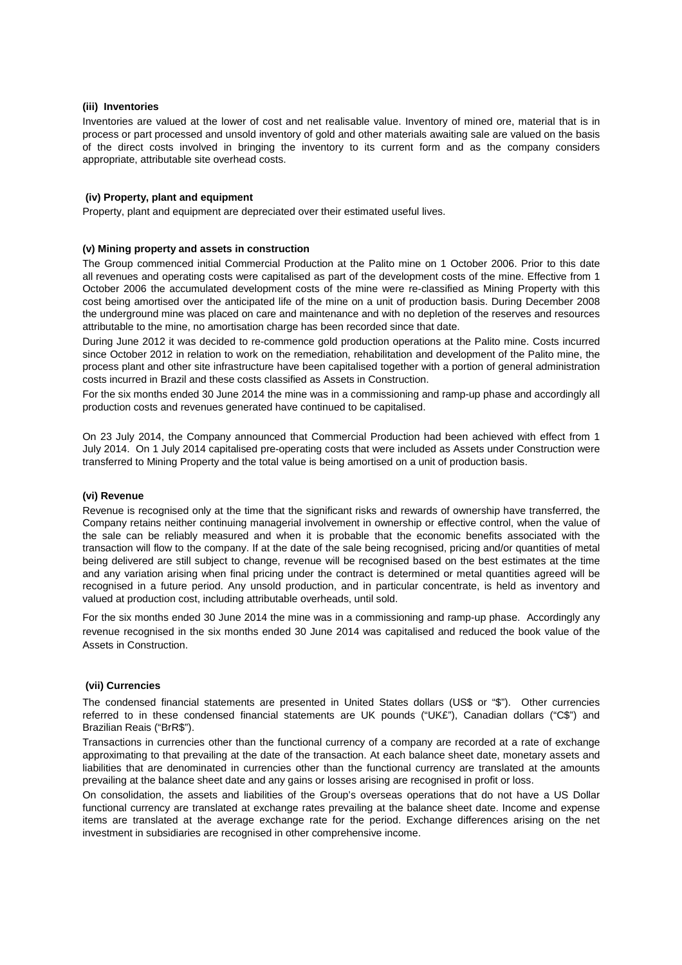## **(iii) Inventories**

Inventories are valued at the lower of cost and net realisable value. Inventory of mined ore, material that is in process or part processed and unsold inventory of gold and other materials awaiting sale are valued on the basis of the direct costs involved in bringing the inventory to its current form and as the company considers appropriate, attributable site overhead costs.

#### **(iv) Property, plant and equipment**

Property, plant and equipment are depreciated over their estimated useful lives.

## **(v) Mining property and assets in construction**

The Group commenced initial Commercial Production at the Palito mine on 1 October 2006. Prior to this date all revenues and operating costs were capitalised as part of the development costs of the mine. Effective from 1 October 2006 the accumulated development costs of the mine were re-classified as Mining Property with this cost being amortised over the anticipated life of the mine on a unit of production basis. During December 2008 the underground mine was placed on care and maintenance and with no depletion of the reserves and resources attributable to the mine, no amortisation charge has been recorded since that date.

During June 2012 it was decided to re-commence gold production operations at the Palito mine. Costs incurred since October 2012 in relation to work on the remediation, rehabilitation and development of the Palito mine, the process plant and other site infrastructure have been capitalised together with a portion of general administration costs incurred in Brazil and these costs classified as Assets in Construction.

For the six months ended 30 June 2014 the mine was in a commissioning and ramp-up phase and accordingly all production costs and revenues generated have continued to be capitalised.

On 23 July 2014, the Company announced that Commercial Production had been achieved with effect from 1 July 2014. On 1 July 2014 capitalised pre-operating costs that were included as Assets under Construction were transferred to Mining Property and the total value is being amortised on a unit of production basis.

## **(vi) Revenue**

Revenue is recognised only at the time that the significant risks and rewards of ownership have transferred, the Company retains neither continuing managerial involvement in ownership or effective control, when the value of the sale can be reliably measured and when it is probable that the economic benefits associated with the transaction will flow to the company. If at the date of the sale being recognised, pricing and/or quantities of metal being delivered are still subject to change, revenue will be recognised based on the best estimates at the time and any variation arising when final pricing under the contract is determined or metal quantities agreed will be recognised in a future period. Any unsold production, and in particular concentrate, is held as inventory and valued at production cost, including attributable overheads, until sold.

For the six months ended 30 June 2014 the mine was in a commissioning and ramp-up phase. Accordingly any revenue recognised in the six months ended 30 June 2014 was capitalised and reduced the book value of the Assets in Construction.

## **(vii) Currencies**

The condensed financial statements are presented in United States dollars (US\$ or "\$"). Other currencies referred to in these condensed financial statements are UK pounds ("UK£"), Canadian dollars ("C\$") and Brazilian Reais ("BrR\$").

Transactions in currencies other than the functional currency of a company are recorded at a rate of exchange approximating to that prevailing at the date of the transaction. At each balance sheet date, monetary assets and liabilities that are denominated in currencies other than the functional currency are translated at the amounts prevailing at the balance sheet date and any gains or losses arising are recognised in profit or loss.

On consolidation, the assets and liabilities of the Group's overseas operations that do not have a US Dollar functional currency are translated at exchange rates prevailing at the balance sheet date. Income and expense items are translated at the average exchange rate for the period. Exchange differences arising on the net investment in subsidiaries are recognised in other comprehensive income.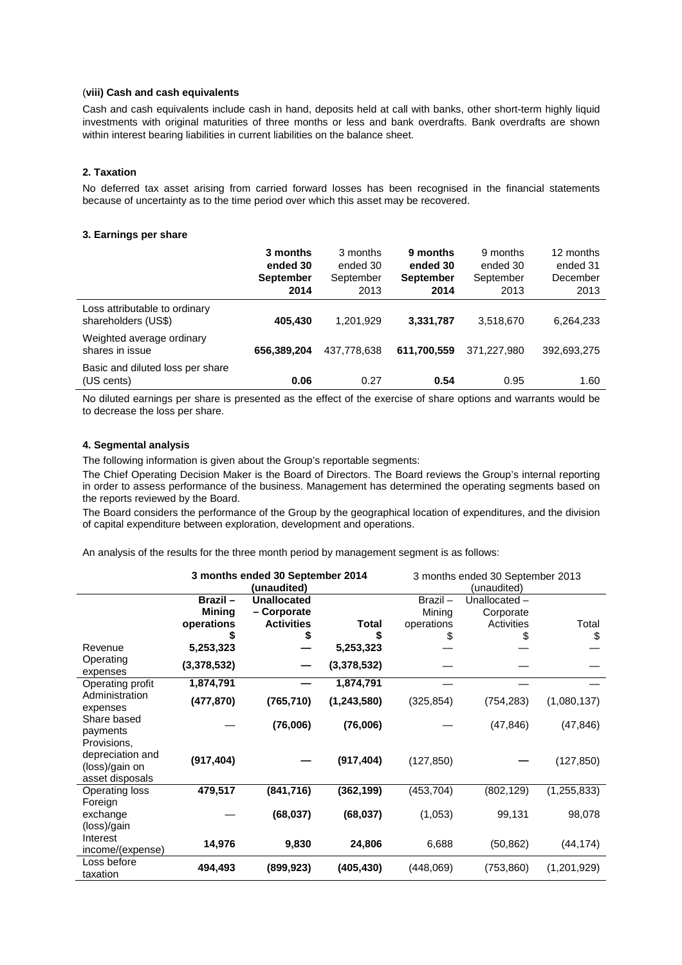### (**viii) Cash and cash equivalents**

Cash and cash equivalents include cash in hand, deposits held at call with banks, other short-term highly liquid investments with original maturities of three months or less and bank overdrafts. Bank overdrafts are shown within interest bearing liabilities in current liabilities on the balance sheet.

## **2. Taxation**

No deferred tax asset arising from carried forward losses has been recognised in the financial statements because of uncertainty as to the time period over which this asset may be recovered.

## **3. Earnings per share**

|                                                      | 3 months<br>ended 30<br><b>September</b><br>2014 | 3 months<br>ended 30<br>September<br>2013 | 9 months<br>ended 30<br><b>September</b><br>2014 | 9 months<br>ended 30<br>September<br>2013 | 12 months<br>ended 31<br>December<br>2013 |
|------------------------------------------------------|--------------------------------------------------|-------------------------------------------|--------------------------------------------------|-------------------------------------------|-------------------------------------------|
| Loss attributable to ordinary<br>shareholders (US\$) | 405,430                                          | 1,201,929                                 | 3,331,787                                        | 3,518,670                                 | 6,264,233                                 |
| Weighted average ordinary<br>shares in issue         | 656,389,204                                      | 437.778.638                               | 611,700,559                                      | 371.227.980                               | 392,693,275                               |
| Basic and diluted loss per share<br>(US cents)       | 0.06                                             | 0.27                                      | 0.54                                             | 0.95                                      | 1.60                                      |

No diluted earnings per share is presented as the effect of the exercise of share options and warrants would be to decrease the loss per share.

## **4. Segmental analysis**

The following information is given about the Group's reportable segments:

The Chief Operating Decision Maker is the Board of Directors. The Board reviews the Group's internal reporting in order to assess performance of the business. Management has determined the operating segments based on the reports reviewed by the Board.

The Board considers the performance of the Group by the geographical location of expenditures, and the division of capital expenditure between exploration, development and operations.

An analysis of the results for the three month period by management segment is as follows:

|                                                                      | 3 months ended 30 September 2014<br>(unaudited) |                                   | 3 months ended 30 September 2013<br>(unaudited) |                      |                           |               |
|----------------------------------------------------------------------|-------------------------------------------------|-----------------------------------|-------------------------------------------------|----------------------|---------------------------|---------------|
|                                                                      | Brazil-<br><b>Mining</b>                        | <b>Unallocated</b><br>- Corporate |                                                 | $Brazil -$<br>Mining | Unallocated-<br>Corporate |               |
|                                                                      | operations                                      | <b>Activities</b>                 | Total                                           | operations           | Activities                | Total         |
|                                                                      |                                                 | \$                                |                                                 |                      | S                         | \$            |
| Revenue                                                              | 5,253,323                                       |                                   | 5,253,323                                       |                      |                           |               |
| Operating<br>expenses                                                | (3,378,532)                                     |                                   | (3,378,532)                                     |                      |                           |               |
| Operating profit                                                     | 1,874,791                                       |                                   | 1,874,791                                       |                      |                           |               |
| Administration<br>expenses                                           | (477, 870)                                      | (765, 710)                        | (1, 243, 580)                                   | (325, 854)           | (754, 283)                | (1,080,137)   |
| Share based<br>payments                                              |                                                 | (76,006)                          | (76,006)                                        |                      | (47, 846)                 | (47, 846)     |
| Provisions,<br>depreciation and<br>(loss)/gain on<br>asset disposals | (917, 404)                                      |                                   | (917, 404)                                      | (127, 850)           |                           | (127, 850)    |
| Operating loss                                                       | 479,517                                         | (841, 716)                        | (362, 199)                                      | (453, 704)           | (802, 129)                | (1, 255, 833) |
| Foreign<br>exchange<br>(loss)/gain                                   |                                                 | (68, 037)                         | (68, 037)                                       | (1,053)              | 99,131                    | 98,078        |
| Interest<br>income/(expense)                                         | 14,976                                          | 9,830                             | 24,806                                          | 6,688                | (50, 862)                 | (44, 174)     |
| Loss before<br>taxation                                              | 494,493                                         | (899, 923)                        | (405, 430)                                      | (448,069)            | (753, 860)                | (1,201,929)   |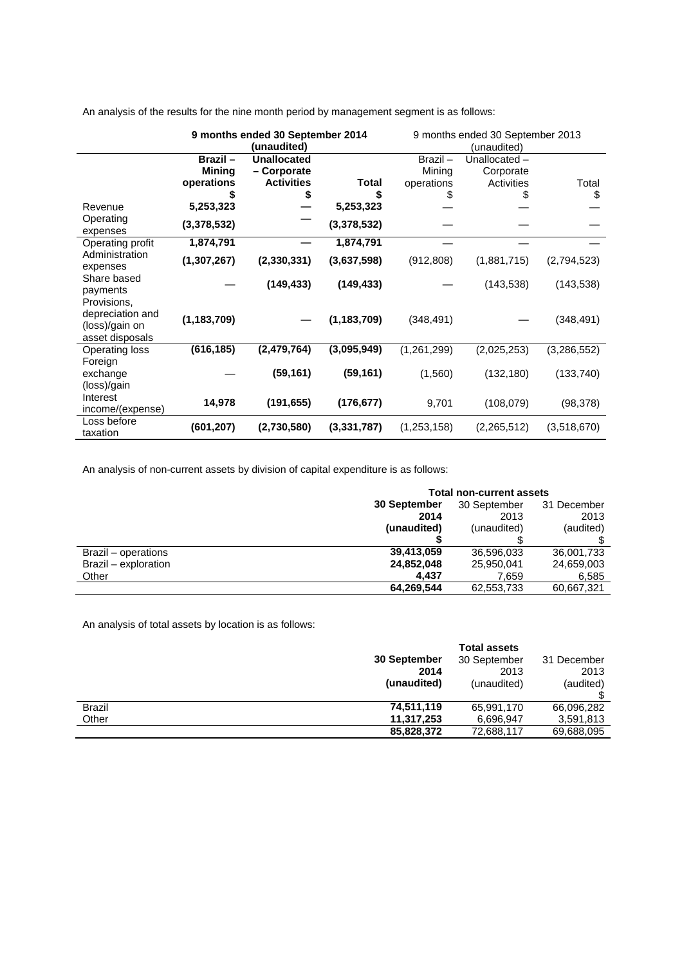|                                                                      | 9 months ended 30 September 2014<br>(unaudited)     |                                                              | 9 months ended 30 September 2013<br>(unaudited) |                                 |                                         |               |
|----------------------------------------------------------------------|-----------------------------------------------------|--------------------------------------------------------------|-------------------------------------------------|---------------------------------|-----------------------------------------|---------------|
| Revenue<br>Operating                                                 | Brazil-<br><b>Mining</b><br>operations<br>5,253,323 | <b>Unallocated</b><br>- Corporate<br><b>Activities</b><br>\$ | <b>Total</b><br>5,253,323                       | Brazil-<br>Mining<br>operations | Unallocated-<br>Corporate<br>Activities | Total<br>\$   |
| expenses<br>Operating profit                                         | (3,378,532)<br>1,874,791                            |                                                              | (3,378,532)<br>1,874,791                        |                                 |                                         |               |
| Administration<br>expenses                                           | (1, 307, 267)                                       | (2,330,331)                                                  | (3,637,598)                                     | (912, 808)                      | (1,881,715)                             | (2,794,523)   |
| Share based<br>payments                                              |                                                     | (149, 433)                                                   | (149, 433)                                      |                                 | (143, 538)                              | (143, 538)    |
| Provisions,<br>depreciation and<br>(loss)/gain on<br>asset disposals | (1, 183, 709)                                       |                                                              | (1, 183, 709)                                   | (348, 491)                      |                                         | (348, 491)    |
| <b>Operating loss</b>                                                | (616, 185)                                          | (2,479,764)                                                  | (3,095,949)                                     | (1,261,299)                     | (2,025,253)                             | (3, 286, 552) |
| Foreign<br>exchange<br>(loss)/gain                                   |                                                     | (59, 161)                                                    | (59, 161)                                       | (1,560)                         | (132, 180)                              | (133, 740)    |
| Interest<br>income/(expense)                                         | 14,978                                              | (191, 655)                                                   | (176, 677)                                      | 9,701                           | (108,079)                               | (98, 378)     |
| Loss before<br>taxation                                              | (601, 207)                                          | (2,730,580)                                                  | (3,331,787)                                     | (1,253,158)                     | (2,265,512)                             | (3,518,670)   |

An analysis of the results for the nine month period by management segment is as follows:

An analysis of non-current assets by division of capital expenditure is as follows:

|                      | <b>Total non-current assets</b> |              |             |  |
|----------------------|---------------------------------|--------------|-------------|--|
|                      | 30 September                    | 30 September | 31 December |  |
|                      | 2014                            | 2013         | 2013        |  |
|                      | (unaudited)                     | (unaudited)  | (audited)   |  |
|                      |                                 |              |             |  |
| Brazil – operations  | 39,413,059                      | 36,596,033   | 36,001,733  |  |
| Brazil - exploration | 24,852,048                      | 25,950,041   | 24,659,003  |  |
| Other                | 4.437                           | 7.659        | 6.585       |  |
|                      | 64,269,544                      | 62,553,733   | 60,667,321  |  |

An analysis of total assets by location is as follows:

|               |              | <b>Total assets</b> |             |
|---------------|--------------|---------------------|-------------|
|               | 30 September | 30 September        | 31 December |
|               | 2014         | 2013                | 2013        |
|               | (unaudited)  | (unaudited)         | (audited)   |
|               |              |                     |             |
| <b>Brazil</b> | 74,511,119   | 65,991,170          | 66,096,282  |
| Other         | 11,317,253   | 6,696,947           | 3,591,813   |
|               | 85,828,372   | 72,688,117          | 69,688,095  |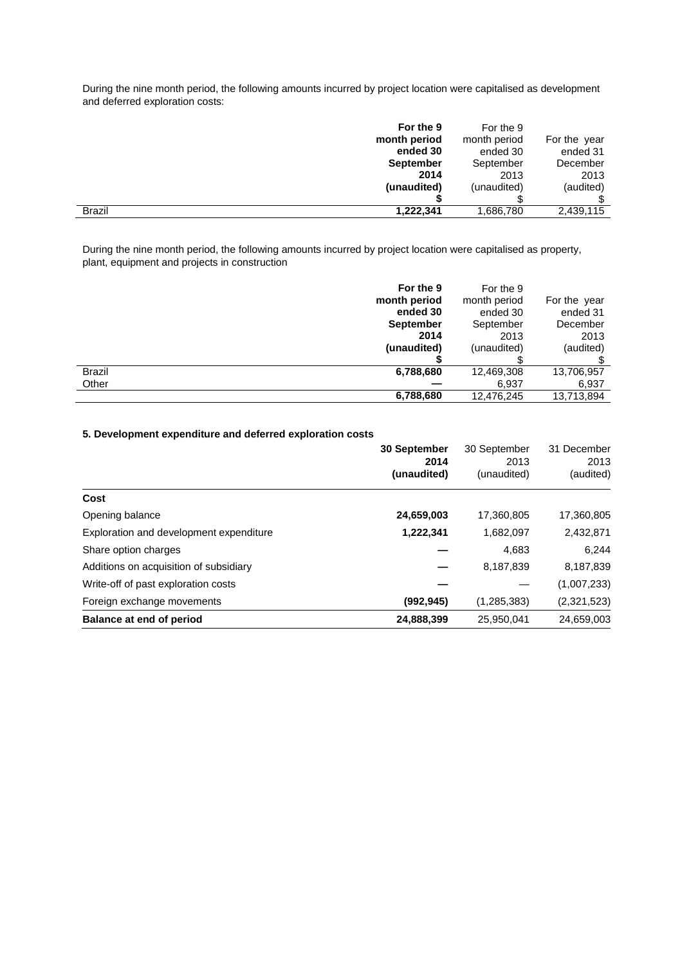During the nine month period, the following amounts incurred by project location were capitalised as development and deferred exploration costs:

| For the 9<br>month period  | For the 9<br>month period | For the year |
|----------------------------|---------------------------|--------------|
| ended 30                   | ended 30                  | ended 31     |
| <b>September</b>           | September                 | December     |
| 2014                       | 2013                      | 2013         |
| (unaudited)                | (unaudited)               | (audited)    |
|                            |                           |              |
| 1,222,341<br><b>Brazil</b> | .686,780 ا                | 2,439,115    |

During the nine month period, the following amounts incurred by project location were capitalised as property, plant, equipment and projects in construction

|               | For the 9        | For the 9    |              |
|---------------|------------------|--------------|--------------|
|               | month period     | month period | For the year |
|               | ended 30         | ended 30     | ended 31     |
|               | <b>September</b> | September    | December     |
|               | 2014             | 2013         | 2013         |
|               | (unaudited)      | (unaudited)  | (audited)    |
|               |                  |              |              |
| <b>Brazil</b> | 6,788,680        | 12,469,308   | 13,706,957   |
| Other         |                  | 6,937        | 6,937        |
|               | 6,788,680        | 12,476,245   | 13,713,894   |

# **5. Development expenditure and deferred exploration costs**

|                                         | <b>30 September</b> | 30 September        | 31 December       |
|-----------------------------------------|---------------------|---------------------|-------------------|
|                                         | 2014<br>(unaudited) | 2013<br>(unaudited) | 2013<br>(audited) |
| Cost                                    |                     |                     |                   |
| Opening balance                         | 24,659,003          | 17,360,805          | 17,360,805        |
| Exploration and development expenditure | 1,222,341           | 1,682,097           | 2,432,871         |
| Share option charges                    |                     | 4,683               | 6,244             |
| Additions on acquisition of subsidiary  |                     | 8,187,839           | 8,187,839         |
| Write-off of past exploration costs     |                     |                     | (1,007,233)       |
| Foreign exchange movements              | (992, 945)          | (1,285,383)         | (2,321,523)       |
| Balance at end of period                | 24,888,399          | 25,950,041          | 24,659,003        |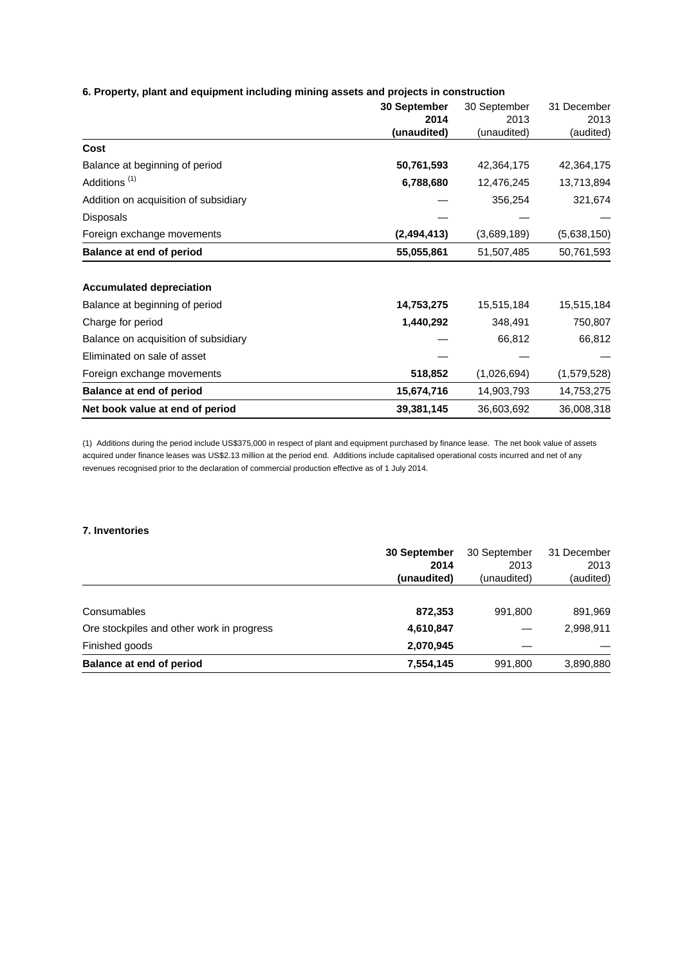## **6. Property, plant and equipment including mining assets and projects in construction**

|                                       | 30 September<br>2014 | 30 September<br>2013 | 31 December<br>2013 |
|---------------------------------------|----------------------|----------------------|---------------------|
|                                       | (unaudited)          | (unaudited)          | (audited)           |
| Cost                                  |                      |                      |                     |
| Balance at beginning of period        | 50,761,593           | 42,364,175           | 42,364,175          |
| Additions <sup>(1)</sup>              | 6,788,680            | 12,476,245           | 13,713,894          |
| Addition on acquisition of subsidiary |                      | 356,254              | 321,674             |
| Disposals                             |                      |                      |                     |
| Foreign exchange movements            | (2, 494, 413)        | (3,689,189)          | (5,638,150)         |
| <b>Balance at end of period</b>       | 55,055,861           | 51,507,485           | 50,761,593          |
| <b>Accumulated depreciation</b>       |                      |                      |                     |
| Balance at beginning of period        | 14,753,275           | 15,515,184           | 15,515,184          |
| Charge for period                     | 1,440,292            | 348,491              | 750,807             |
| Balance on acquisition of subsidiary  |                      | 66,812               | 66,812              |
| Eliminated on sale of asset           |                      |                      |                     |
| Foreign exchange movements            | 518,852              | (1,026,694)          | (1,579,528)         |
| Balance at end of period              | 15,674,716           | 14,903,793           | 14,753,275          |
| Net book value at end of period       | 39,381,145           | 36,603,692           | 36,008,318          |

(1) Additions during the period include US\$375,000 in respect of plant and equipment purchased by finance lease. The net book value of assets acquired under finance leases was US\$2.13 million at the period end. Additions include capitalised operational costs incurred and net of any revenues recognised prior to the declaration of commercial production effective as of 1 July 2014.

## **7. Inventories**

|                                           | <b>30 September</b> | 30 September | 31 December |
|-------------------------------------------|---------------------|--------------|-------------|
|                                           | 2014                | 2013         | 2013        |
|                                           | (unaudited)         | (unaudited)  | (audited)   |
|                                           |                     |              |             |
| Consumables                               | 872,353             | 991,800      | 891,969     |
| Ore stockpiles and other work in progress | 4,610,847           |              | 2,998,911   |
| Finished goods                            | 2,070,945           |              |             |
| Balance at end of period                  | 7,554,145           | 991,800      | 3,890,880   |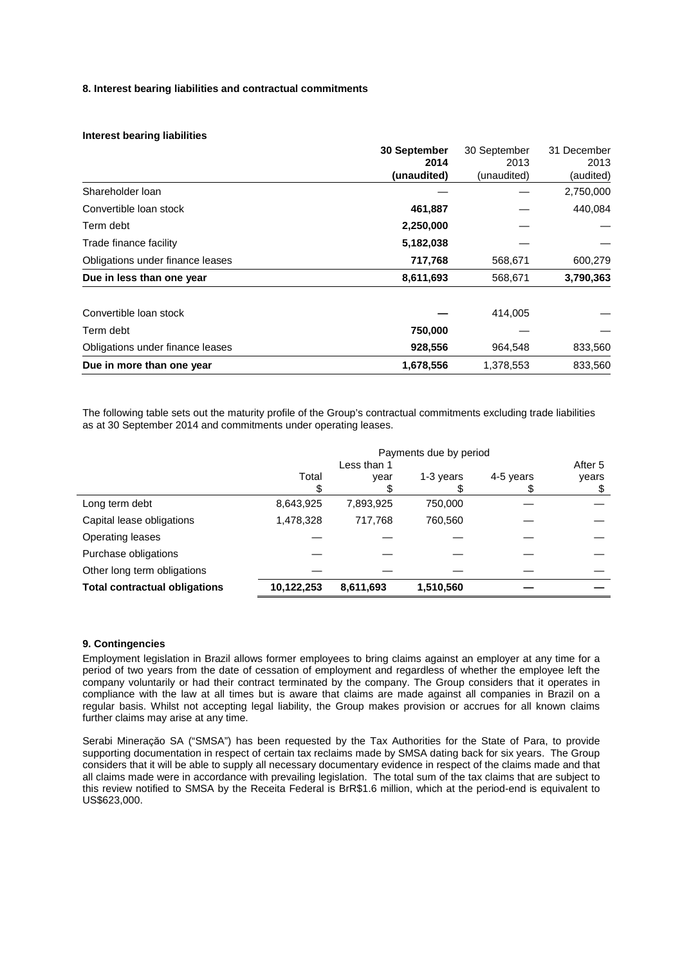## **8. Interest bearing liabilities and contractual commitments**

## **Interest bearing liabilities**

|                                  | 30 September | 30 September | 31 December |
|----------------------------------|--------------|--------------|-------------|
|                                  | 2014         | 2013         | 2013        |
|                                  | (unaudited)  | (unaudited)  | (audited)   |
| Shareholder Ioan                 |              |              | 2,750,000   |
| Convertible loan stock           | 461,887      |              | 440,084     |
| Term debt                        | 2,250,000    |              |             |
| Trade finance facility           | 5,182,038    |              |             |
| Obligations under finance leases | 717,768      | 568,671      | 600,279     |
| Due in less than one year        | 8,611,693    | 568,671      | 3,790,363   |
| Convertible loan stock           |              | 414,005      |             |
| Term debt                        | 750,000      |              |             |
| Obligations under finance leases | 928,556      | 964,548      | 833,560     |
| Due in more than one year        | 1,678,556    | 1,378,553    | 833.560     |

The following table sets out the maturity profile of the Group's contractual commitments excluding trade liabilities as at 30 September 2014 and commitments under operating leases.

|                                      | Payments due by period |             |           |           |         |
|--------------------------------------|------------------------|-------------|-----------|-----------|---------|
|                                      |                        | Less than 1 |           |           | After 5 |
|                                      | Total                  | year        | 1-3 years | 4-5 years | years   |
|                                      |                        |             |           |           |         |
| Long term debt                       | 8,643,925              | 7,893,925   | 750,000   |           |         |
| Capital lease obligations            | 1,478,328              | 717,768     | 760,560   |           |         |
| Operating leases                     |                        |             |           |           |         |
| Purchase obligations                 |                        |             |           |           |         |
| Other long term obligations          |                        |             |           |           |         |
| <b>Total contractual obligations</b> | 10,122,253             | 8,611,693   | 1,510,560 |           |         |

## **9. Contingencies**

Employment legislation in Brazil allows former employees to bring claims against an employer at any time for a period of two years from the date of cessation of employment and regardless of whether the employee left the company voluntarily or had their contract terminated by the company. The Group considers that it operates in compliance with the law at all times but is aware that claims are made against all companies in Brazil on a regular basis. Whilst not accepting legal liability, the Group makes provision or accrues for all known claims further claims may arise at any time.

Serabi Mineraçăo SA ("SMSA") has been requested by the Tax Authorities for the State of Para, to provide supporting documentation in respect of certain tax reclaims made by SMSA dating back for six years. The Group considers that it will be able to supply all necessary documentary evidence in respect of the claims made and that all claims made were in accordance with prevailing legislation. The total sum of the tax claims that are subject to this review notified to SMSA by the Receita Federal is BrR\$1.6 million, which at the period-end is equivalent to US\$623,000.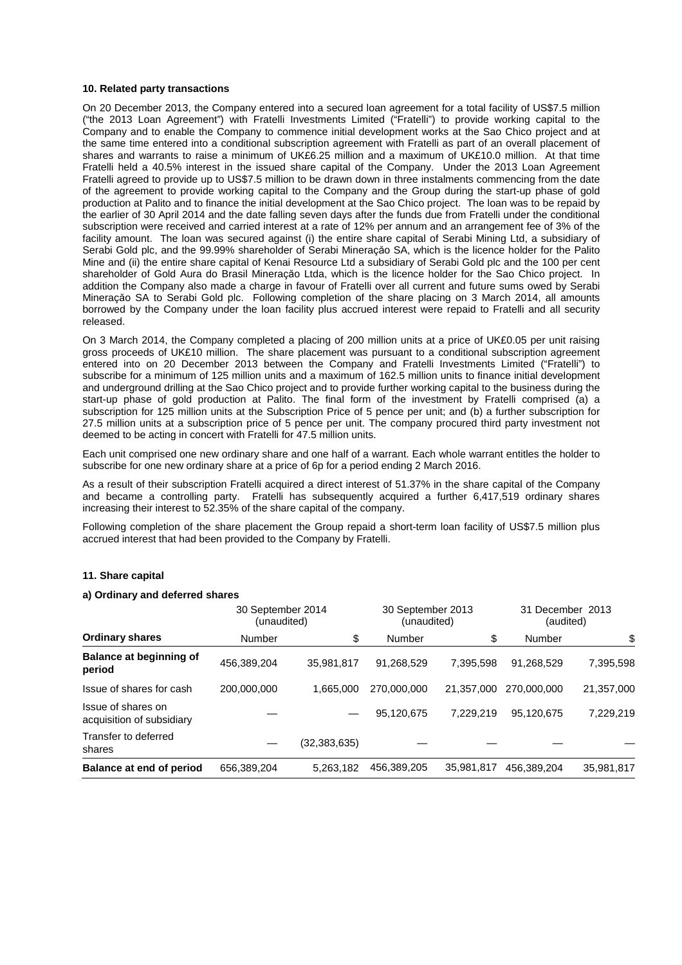#### **10. Related party transactions**

On 20 December 2013, the Company entered into a secured loan agreement for a total facility of US\$7.5 million ("the 2013 Loan Agreement") with Fratelli Investments Limited ("Fratelli") to provide working capital to the Company and to enable the Company to commence initial development works at the Sao Chico project and at the same time entered into a conditional subscription agreement with Fratelli as part of an overall placement of shares and warrants to raise a minimum of UK£6.25 million and a maximum of UK£10.0 million. At that time Fratelli held a 40.5% interest in the issued share capital of the Company. Under the 2013 Loan Agreement Fratelli agreed to provide up to US\$7.5 million to be drawn down in three instalments commencing from the date of the agreement to provide working capital to the Company and the Group during the start-up phase of gold production at Palito and to finance the initial development at the Sao Chico project. The loan was to be repaid by the earlier of 30 April 2014 and the date falling seven days after the funds due from Fratelli under the conditional subscription were received and carried interest at a rate of 12% per annum and an arrangement fee of 3% of the facility amount. The loan was secured against (i) the entire share capital of Serabi Mining Ltd, a subsidiary of Serabi Gold plc, and the 99.99% shareholder of Serabi Mineraçăo SA, which is the licence holder for the Palito Mine and (ii) the entire share capital of Kenai Resource Ltd a subsidiary of Serabi Gold plc and the 100 per cent shareholder of Gold Aura do Brasil Mineraçăo Ltda, which is the licence holder for the Sao Chico project. In addition the Company also made a charge in favour of Fratelli over all current and future sums owed by Serabi Mineraçăo SA to Serabi Gold plc. Following completion of the share placing on 3 March 2014, all amounts borrowed by the Company under the loan facility plus accrued interest were repaid to Fratelli and all security released.

On 3 March 2014, the Company completed a placing of 200 million units at a price of UK£0.05 per unit raising gross proceeds of UK£10 million. The share placement was pursuant to a conditional subscription agreement entered into on 20 December 2013 between the Company and Fratelli Investments Limited ("Fratelli") to subscribe for a minimum of 125 million units and a maximum of 162.5 million units to finance initial development and underground drilling at the Sao Chico project and to provide further working capital to the business during the start-up phase of gold production at Palito. The final form of the investment by Fratelli comprised (a) a subscription for 125 million units at the Subscription Price of 5 pence per unit; and (b) a further subscription for 27.5 million units at a subscription price of 5 pence per unit. The company procured third party investment not deemed to be acting in concert with Fratelli for 47.5 million units.

Each unit comprised one new ordinary share and one half of a warrant. Each whole warrant entitles the holder to subscribe for one new ordinary share at a price of 6p for a period ending 2 March 2016.

As a result of their subscription Fratelli acquired a direct interest of 51.37% in the share capital of the Company and became a controlling party. Fratelli has subsequently acquired a further 6,417,519 ordinary shares increasing their interest to 52.35% of the share capital of the company.

Following completion of the share placement the Group repaid a short-term loan facility of US\$7.5 million plus accrued interest that had been provided to the Company by Fratelli.

## **11. Share capital**

#### **a) Ordinary and deferred shares**

|                                                 | 30 September 2014<br>(unaudited) |              | 30 September 2013<br>(unaudited) |            | 31 December 2013<br>(audited) |            |
|-------------------------------------------------|----------------------------------|--------------|----------------------------------|------------|-------------------------------|------------|
| <b>Ordinary shares</b>                          | Number                           | \$           | Number                           | \$         | Number                        | \$         |
| <b>Balance at beginning of</b><br>period        | 456,389,204                      | 35.981.817   | 91.268.529                       | 7.395.598  | 91,268,529                    | 7,395,598  |
| Issue of shares for cash                        | 200,000,000                      | 1.665.000    | 270.000.000                      | 21.357.000 | 270,000,000                   | 21,357,000 |
| Issue of shares on<br>acquisition of subsidiary |                                  |              | 95,120,675                       | 7.229.219  | 95.120.675                    | 7,229,219  |
| Transfer to deferred<br>shares                  |                                  | (32,383,635) |                                  |            |                               |            |
| Balance at end of period                        | 656.389.204                      | 5.263.182    | 456,389,205                      | 35,981,817 | 456,389,204                   | 35.981.817 |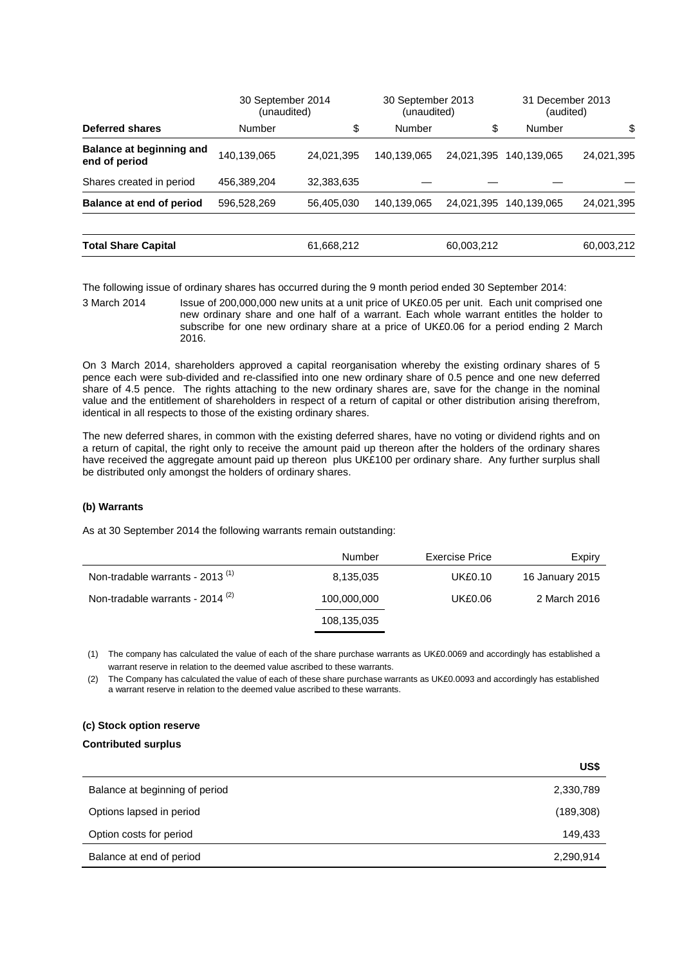|                                                  | 30 September 2014<br>(unaudited) |            | 30 September 2013<br>(unaudited) |            | 31 December 2013<br>(audited) |            |
|--------------------------------------------------|----------------------------------|------------|----------------------------------|------------|-------------------------------|------------|
| Deferred shares                                  | Number                           | \$         | Number                           | \$         | Number                        | \$         |
| <b>Balance at beginning and</b><br>end of period | 140,139,065                      | 24,021,395 | 140,139,065                      | 24,021,395 | 140.139.065                   | 24,021,395 |
| Shares created in period                         | 456,389,204                      | 32,383,635 |                                  |            |                               |            |
| <b>Balance at end of period</b>                  | 596,528,269                      | 56,405,030 | 140,139,065                      | 24,021,395 | 140.139.065                   | 24,021,395 |
| <b>Total Share Capital</b>                       |                                  | 61,668,212 |                                  | 60,003,212 |                               | 60,003,212 |

The following issue of ordinary shares has occurred during the 9 month period ended 30 September 2014:

3 March 2014 Issue of 200,000,000 new units at a unit price of UK£0.05 per unit. Each unit comprised one new ordinary share and one half of a warrant. Each whole warrant entitles the holder to subscribe for one new ordinary share at a price of UK£0.06 for a period ending 2 March 2016.

On 3 March 2014, shareholders approved a capital reorganisation whereby the existing ordinary shares of 5 pence each were sub-divided and re-classified into one new ordinary share of 0.5 pence and one new deferred share of 4.5 pence. The rights attaching to the new ordinary shares are, save for the change in the nominal value and the entitlement of shareholders in respect of a return of capital or other distribution arising therefrom, identical in all respects to those of the existing ordinary shares.

The new deferred shares, in common with the existing deferred shares, have no voting or dividend rights and on a return of capital, the right only to receive the amount paid up thereon after the holders of the ordinary shares have received the aggregate amount paid up thereon plus UK£100 per ordinary share. Any further surplus shall be distributed only amongst the holders of ordinary shares.

## **(b) Warrants**

As at 30 September 2014 the following warrants remain outstanding:

|                                             | Number      | Exercise Price | Expiry          |
|---------------------------------------------|-------------|----------------|-----------------|
| Non-tradable warrants - 2013 <sup>(1)</sup> | 8,135,035   | <b>UK£0.10</b> | 16 January 2015 |
| Non-tradable warrants - $2014^{(2)}$        | 100,000,000 | UK£0.06        | 2 March 2016    |
|                                             | 108,135,035 |                |                 |

(1) The company has calculated the value of each of the share purchase warrants as UK£0.0069 and accordingly has established a warrant reserve in relation to the deemed value ascribed to these warrants.

(2) The Company has calculated the value of each of these share purchase warrants as UK£0.0093 and accordingly has established a warrant reserve in relation to the deemed value ascribed to these warrants.

# **(c) Stock option reserve**

## **Contributed surplus**

|                                | US\$       |
|--------------------------------|------------|
| Balance at beginning of period | 2,330,789  |
| Options lapsed in period       | (189, 308) |
| Option costs for period        | 149,433    |
| Balance at end of period       | 2,290,914  |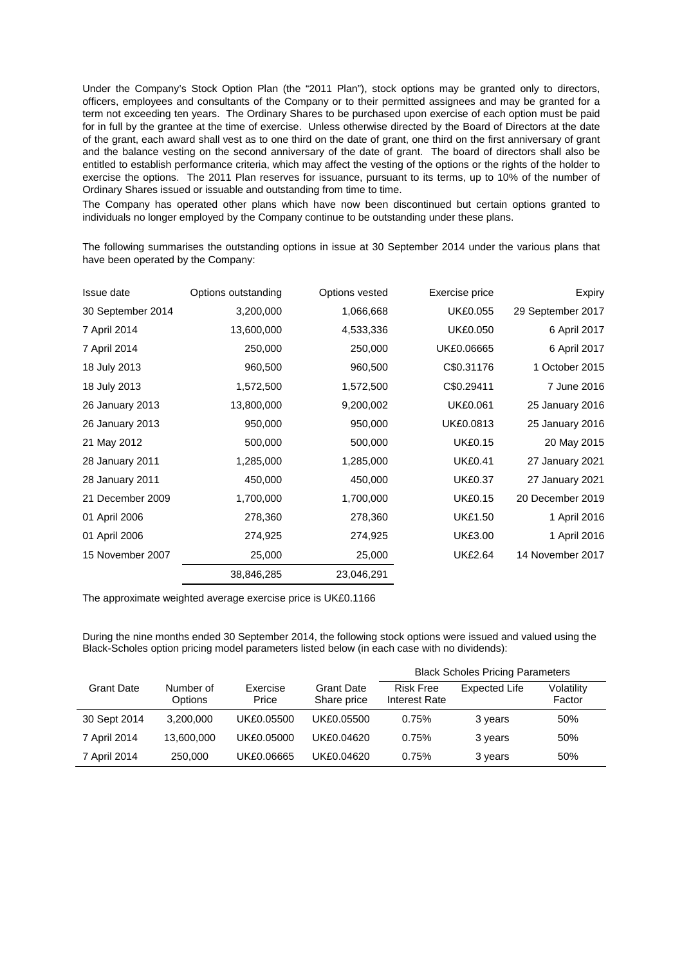Under the Company's Stock Option Plan (the "2011 Plan"), stock options may be granted only to directors, officers, employees and consultants of the Company or to their permitted assignees and may be granted for a term not exceeding ten years. The Ordinary Shares to be purchased upon exercise of each option must be paid for in full by the grantee at the time of exercise. Unless otherwise directed by the Board of Directors at the date of the grant, each award shall vest as to one third on the date of grant, one third on the first anniversary of grant and the balance vesting on the second anniversary of the date of grant. The board of directors shall also be entitled to establish performance criteria, which may affect the vesting of the options or the rights of the holder to exercise the options. The 2011 Plan reserves for issuance, pursuant to its terms, up to 10% of the number of Ordinary Shares issued or issuable and outstanding from time to time.

The Company has operated other plans which have now been discontinued but certain options granted to individuals no longer employed by the Company continue to be outstanding under these plans.

The following summarises the outstanding options in issue at 30 September 2014 under the various plans that have been operated by the Company:

| Issue date        | Options outstanding | Options vested | Exercise price  | Expiry            |
|-------------------|---------------------|----------------|-----------------|-------------------|
| 30 September 2014 | 3,200,000           | 1,066,668      | <b>UK£0.055</b> | 29 September 2017 |
| 7 April 2014      | 13,600,000          | 4,533,336      | <b>UK£0.050</b> | 6 April 2017      |
| 7 April 2014      | 250,000             | 250,000        | UK£0.06665      | 6 April 2017      |
| 18 July 2013      | 960,500             | 960,500        | C\$0.31176      | 1 October 2015    |
| 18 July 2013      | 1,572,500           | 1,572,500      | C\$0.29411      | 7 June 2016       |
| 26 January 2013   | 13,800,000          | 9,200,002      | <b>UK£0.061</b> | 25 January 2016   |
| 26 January 2013   | 950,000             | 950,000        | UK£0.0813       | 25 January 2016   |
| 21 May 2012       | 500,000             | 500,000        | <b>UK£0.15</b>  | 20 May 2015       |
| 28 January 2011   | 1,285,000           | 1,285,000      | <b>UK£0.41</b>  | 27 January 2021   |
| 28 January 2011   | 450,000             | 450,000        | <b>UK£0.37</b>  | 27 January 2021   |
| 21 December 2009  | 1,700,000           | 1,700,000      | <b>UK£0.15</b>  | 20 December 2019  |
| 01 April 2006     | 278,360             | 278,360        | <b>UK£1.50</b>  | 1 April 2016      |
| 01 April 2006     | 274,925             | 274,925        | <b>UK£3.00</b>  | 1 April 2016      |
| 15 November 2007  | 25,000              | 25,000         | <b>UK£2.64</b>  | 14 November 2017  |
|                   | 38,846,285          | 23,046,291     |                 |                   |

The approximate weighted average exercise price is UK£0.1166

During the nine months ended 30 September 2014, the following stock options were issued and valued using the Black-Scholes option pricing model parameters listed below (in each case with no dividends):

|                   |                      |                   |                                  | <b>Black Scholes Pricing Parameters</b> |               |                      |
|-------------------|----------------------|-------------------|----------------------------------|-----------------------------------------|---------------|----------------------|
| <b>Grant Date</b> | Number of<br>Options | Exercise<br>Price | <b>Grant Date</b><br>Share price | <b>Risk Free</b><br>Interest Rate       | Expected Life | Volatility<br>Factor |
| 30 Sept 2014      | 3,200,000            | UK£0.05500        | UK£0.05500                       | 0.75%                                   | 3 years       | 50%                  |
| 7 April 2014      | 13,600,000           | UK£0.05000        | UK£0.04620                       | 0.75%                                   | 3 years       | 50%                  |
| 7 April 2014      | 250,000              | UK£0.06665        | UK£0.04620                       | 0.75%                                   | 3 years       | 50%                  |